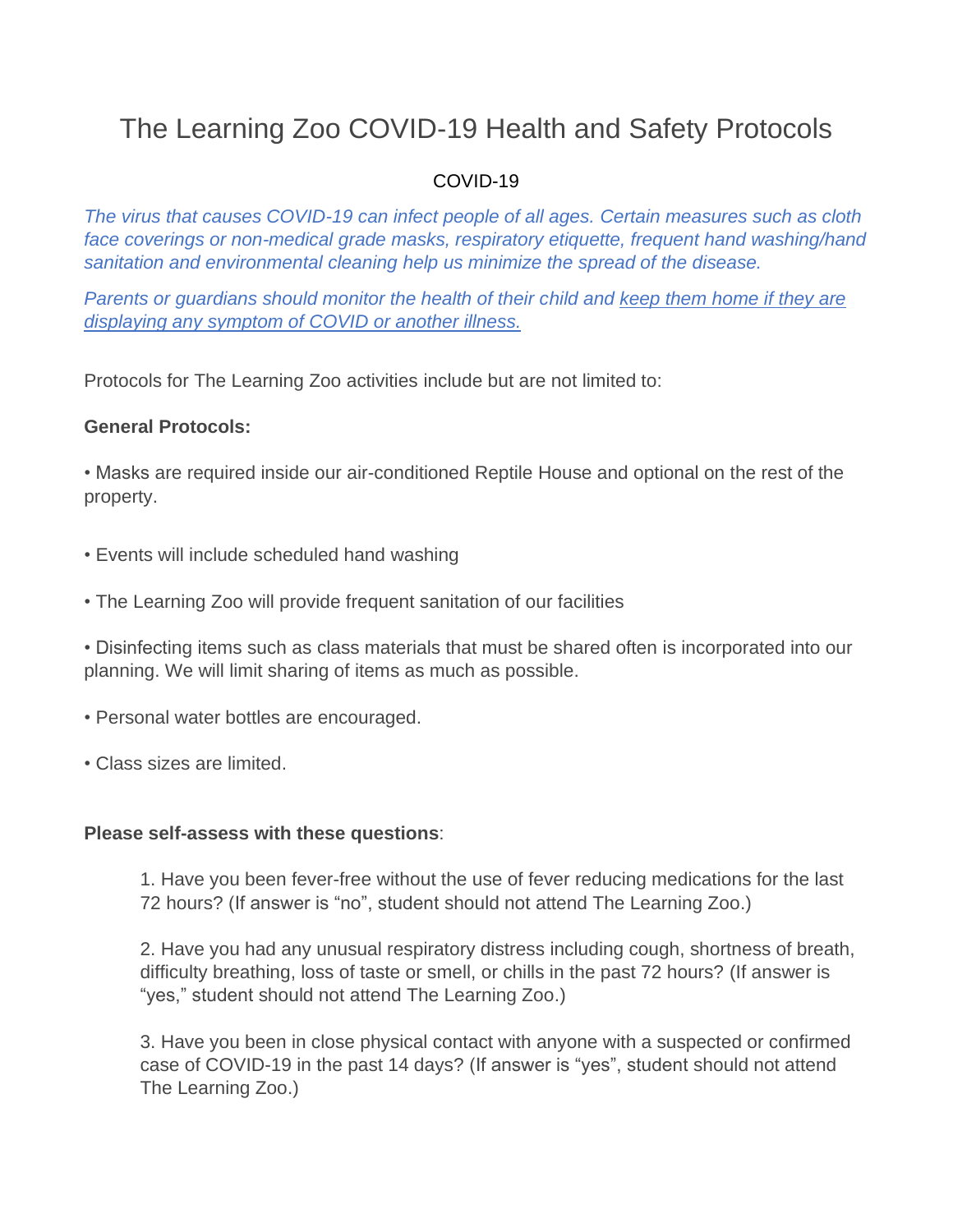# The Learning Zoo COVID-19 Health and Safety Protocols

## COVID-19

*The virus that causes COVID-19 can infect people of all ages. Certain measures such as cloth face coverings or non-medical grade masks, respiratory etiquette, frequent hand washing/hand sanitation and environmental cleaning help us minimize the spread of the disease.*

*Parents or guardians should monitor the health of their child and keep them home if they are displaying any symptom of COVID or another illness.*

Protocols for The Learning Zoo activities include but are not limited to:

#### **General Protocols:**

• Masks are required inside our air-conditioned Reptile House and optional on the rest of the property.

- Events will include scheduled hand washing
- The Learning Zoo will provide frequent sanitation of our facilities

• Disinfecting items such as class materials that must be shared often is incorporated into our planning. We will limit sharing of items as much as possible.

- Personal water bottles are encouraged.
- Class sizes are limited.

#### **Please self-assess with these questions**:

1. Have you been fever-free without the use of fever reducing medications for the last 72 hours? (If answer is "no", student should not attend The Learning Zoo.)

2. Have you had any unusual respiratory distress including cough, shortness of breath, difficulty breathing, loss of taste or smell, or chills in the past 72 hours? (If answer is "yes," student should not attend The Learning Zoo.)

3. Have you been in close physical contact with anyone with a suspected or confirmed case of COVID-19 in the past 14 days? (If answer is "yes", student should not attend The Learning Zoo.)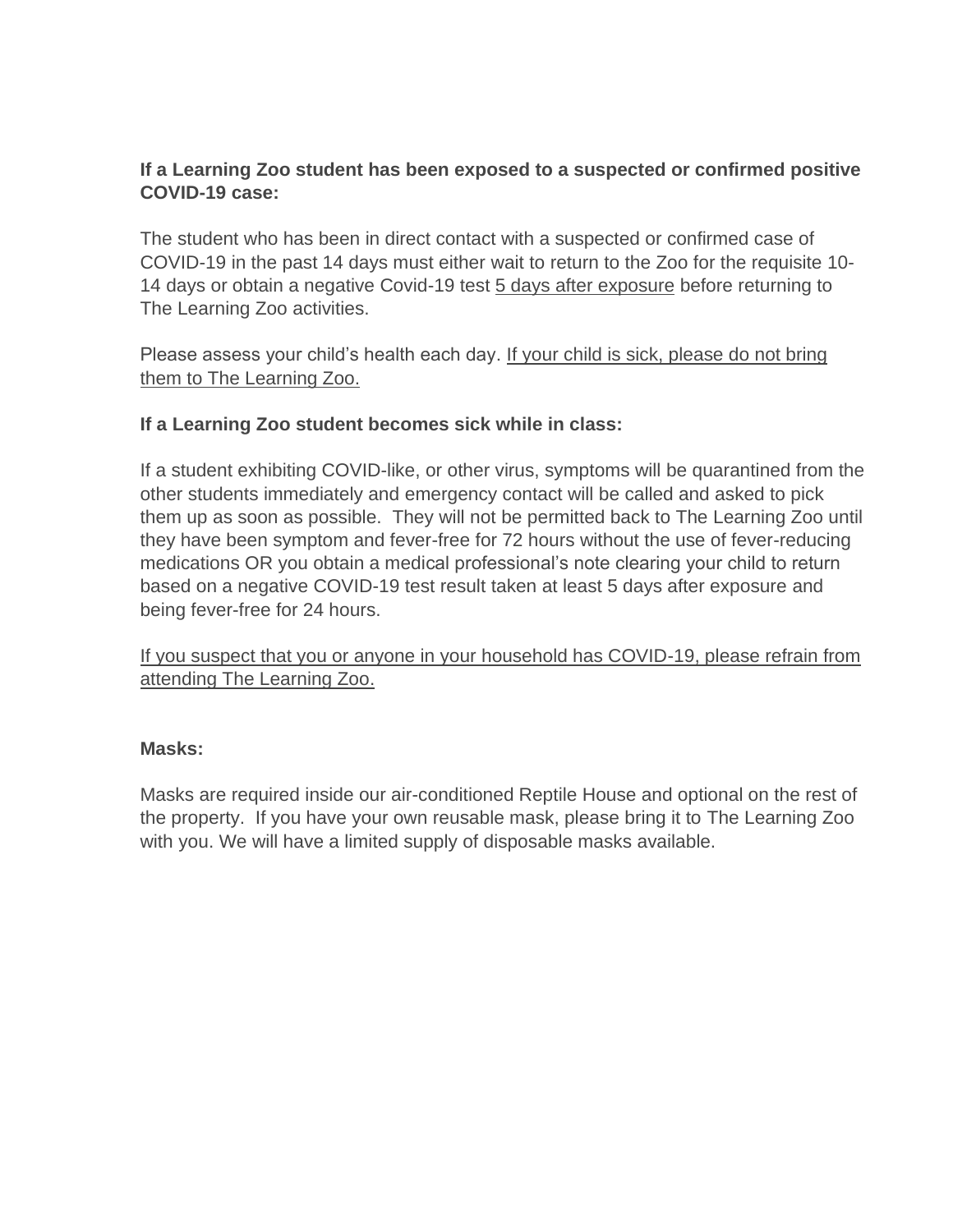## **If a Learning Zoo student has been exposed to a suspected or confirmed positive COVID-19 case:**

The student who has been in direct contact with a suspected or confirmed case of COVID-19 in the past 14 days must either wait to return to the Zoo for the requisite 10- 14 days or obtain a negative Covid-19 test 5 days after exposure before returning to The Learning Zoo activities.

Please assess your child's health each day. If your child is sick, please do not bring them to The Learning Zoo.

### **If a Learning Zoo student becomes sick while in class:**

If a student exhibiting COVID-like, or other virus, symptoms will be quarantined from the other students immediately and emergency contact will be called and asked to pick them up as soon as possible. They will not be permitted back to The Learning Zoo until they have been symptom and fever-free for 72 hours without the use of fever-reducing medications OR you obtain a medical professional's note clearing your child to return based on a negative COVID-19 test result taken at least 5 days after exposure and being fever-free for 24 hours.

If you suspect that you or anyone in your household has COVID-19, please refrain from attending The Learning Zoo.

### **Masks:**

Masks are required inside our air-conditioned Reptile House and optional on the rest of the property. If you have your own reusable mask, please bring it to The Learning Zoo with you. We will have a limited supply of disposable masks available.